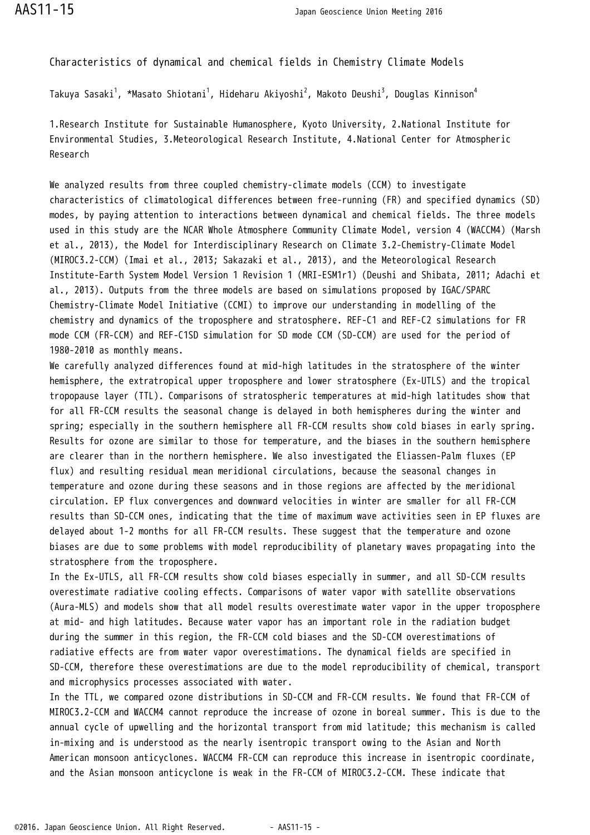Characteristics of dynamical and chemical fields in Chemistry Climate Models

Takuya Sasaki<sup>1</sup>, \*Masato Shiotani<sup>1</sup>, Hideharu Akiyoshi<sup>2</sup>, Makoto Deushi<sup>3</sup>, Douglas Kinnison<sup>4</sup>

1.Research Institute for Sustainable Humanosphere, Kyoto University, 2.National Institute for Environmental Studies, 3.Meteorological Research Institute, 4.National Center for Atmospheric Research

We analyzed results from three coupled chemistry-climate models (CCM) to investigate characteristics of climatological differences between free-running (FR) and specified dynamics (SD) modes, by paying attention to interactions between dynamical and chemical fields. The three models used in this study are the NCAR Whole Atmosphere Community Climate Model, version 4 (WACCM4) (Marsh et al., 2013), the Model for Interdisciplinary Research on Climate 3.2-Chemistry-Climate Model (MIROC3.2-CCM) (Imai et al., 2013; Sakazaki et al., 2013), and the Meteorological Research Institute-Earth System Model Version 1 Revision 1 (MRI-ESM1r1) (Deushi and Shibata, 2011; Adachi et al., 2013). Outputs from the three models are based on simulations proposed by IGAC/SPARC Chemistry-Climate Model Initiative (CCMI) to improve our understanding in modelling of the chemistry and dynamics of the troposphere and stratosphere. REF-C1 and REF-C2 simulations for FR mode CCM (FR-CCM) and REF-C1SD simulation for SD mode CCM (SD-CCM) are used for the period of 1980-2010 as monthly means.

We carefully analyzed differences found at mid-high latitudes in the stratosphere of the winter hemisphere, the extratropical upper troposphere and lower stratosphere (Ex-UTLS) and the tropical tropopause layer (TTL). Comparisons of stratospheric temperatures at mid-high latitudes show that for all FR-CCM results the seasonal change is delayed in both hemispheres during the winter and spring; especially in the southern hemisphere all FR-CCM results show cold biases in early spring. Results for ozone are similar to those for temperature, and the biases in the southern hemisphere are clearer than in the northern hemisphere. We also investigated the Eliassen-Palm fluxes (EP flux) and resulting residual mean meridional circulations, because the seasonal changes in temperature and ozone during these seasons and in those regions are affected by the meridional circulation. EP flux convergences and downward velocities in winter are smaller for all FR-CCM results than SD-CCM ones, indicating that the time of maximum wave activities seen in EP fluxes are delayed about 1-2 months for all FR-CCM results. These suggest that the temperature and ozone biases are due to some problems with model reproducibility of planetary waves propagating into the stratosphere from the troposphere.

In the Ex-UTLS, all FR-CCM results show cold biases especially in summer, and all SD-CCM results overestimate radiative cooling effects. Comparisons of water vapor with satellite observations (Aura-MLS) and models show that all model results overestimate water vapor in the upper troposphere at mid- and high latitudes. Because water vapor has an important role in the radiation budget during the summer in this region, the FR-CCM cold biases and the SD-CCM overestimations of radiative effects are from water vapor overestimations. The dynamical fields are specified in SD-CCM, therefore these overestimations are due to the model reproducibility of chemical, transport and microphysics processes associated with water.

In the TTL, we compared ozone distributions in SD-CCM and FR-CCM results. We found that FR-CCM of MIROC3.2-CCM and WACCM4 cannot reproduce the increase of ozone in boreal summer. This is due to the annual cycle of upwelling and the horizontal transport from mid latitude; this mechanism is called in-mixing and is understood as the nearly isentropic transport owing to the Asian and North American monsoon anticyclones. WACCM4 FR-CCM can reproduce this increase in isentropic coordinate, and the Asian monsoon anticyclone is weak in the FR-CCM of MIROC3.2-CCM. These indicate that